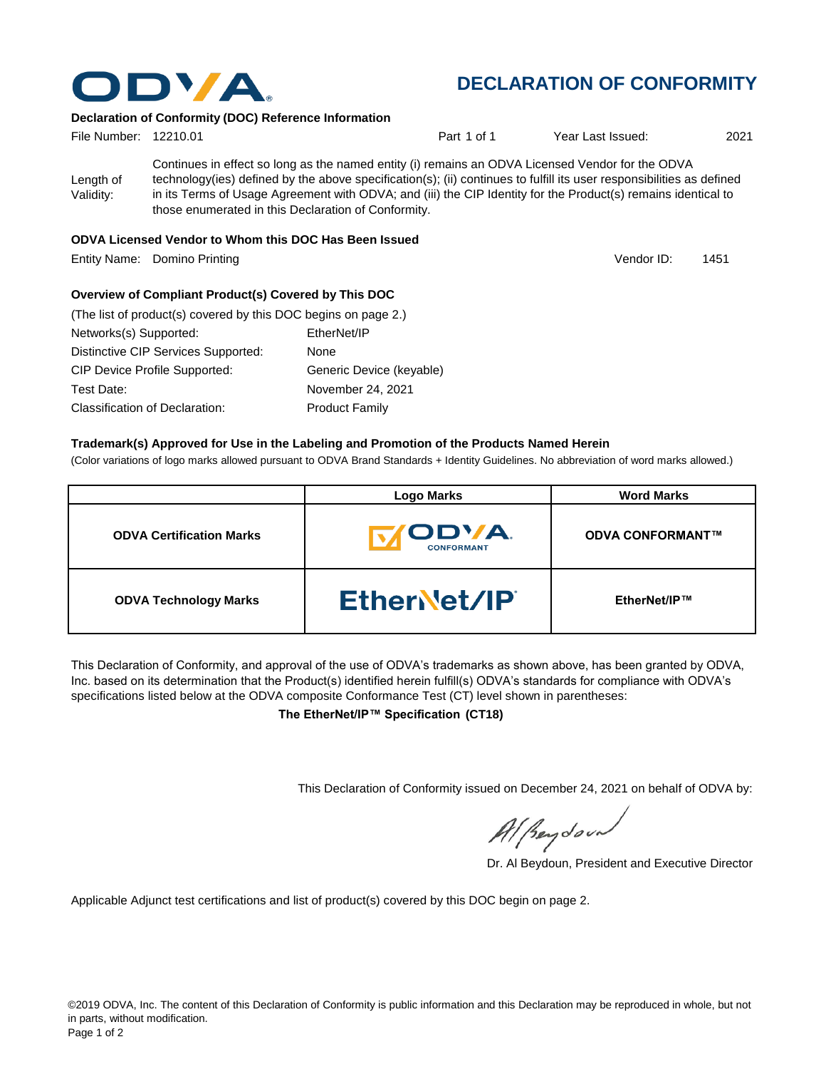

## **DECLARATION OF CONFORMITY**

Vendor ID:

#### **Declaration of Conformity (DOC) Reference Information**

| File Number: 12210.01  |                                                       | Part 1 of 1                                                                                                                                                                                                                                                                                                                                | Year Last Issued: | 2021 |
|------------------------|-------------------------------------------------------|--------------------------------------------------------------------------------------------------------------------------------------------------------------------------------------------------------------------------------------------------------------------------------------------------------------------------------------------|-------------------|------|
| Length of<br>Validity: | those enumerated in this Declaration of Conformity.   | Continues in effect so long as the named entity (i) remains an ODVA Licensed Vendor for the ODVA<br>technology(ies) defined by the above specification(s); (ii) continues to fulfill its user responsibilities as defined<br>in its Terms of Usage Agreement with ODVA; and (iii) the CIP Identity for the Product(s) remains identical to |                   |      |
|                        | ODVA Licensed Vendor to Whom this DOC Has Been Issued |                                                                                                                                                                                                                                                                                                                                            |                   |      |

Entity Name: Domino Printing 1451 (1451) 1451 (1462) 1451 (1468) 1461 (1474) 1461 (1489) 1475 (1489) 1470 (148

#### **Overview of Compliant Product(s) Covered by This DOC**

| (The list of product(s) covered by this DOC begins on page 2.) |                          |
|----------------------------------------------------------------|--------------------------|
| Networks(s) Supported:                                         | EtherNet/IP              |
| Distinctive CIP Services Supported:                            | None                     |
| <b>CIP Device Profile Supported:</b>                           | Generic Device (keyable) |
| Test Date:                                                     | November 24, 2021        |
| Classification of Declaration:                                 | <b>Product Family</b>    |

#### **Trademark(s) Approved for Use in the Labeling and Promotion of the Products Named Herein**

(Color variations of logo marks allowed pursuant to ODVA Brand Standards + Identity Guidelines. No abbreviation of word marks allowed.)

|                                 | <b>Logo Marks</b>                         | <b>Word Marks</b>       |
|---------------------------------|-------------------------------------------|-------------------------|
| <b>ODVA Certification Marks</b> | <b><i>IODVA.</i></b><br><b>CONFORMANT</b> | <b>ODVA CONFORMANT™</b> |
| <b>ODVA Technology Marks</b>    | EtherNet/IP                               | EtherNet/IP™            |

This Declaration of Conformity, and approval of the use of ODVA's trademarks as shown above, has been granted by ODVA, Inc. based on its determination that the Product(s) identified herein fulfill(s) ODVA's standards for compliance with ODVA's specifications listed below at the ODVA composite Conformance Test (CT) level shown in parentheses:

**The EtherNet/IP™ Specification (CT18)**

This Declaration of Conformity issued on December 24, 2021 on behalf of ODVA by:

Al peydound

Dr. Al Beydoun, President and Executive Director

Applicable Adjunct test certifications and list of product(s) covered by this DOC begin on page 2.